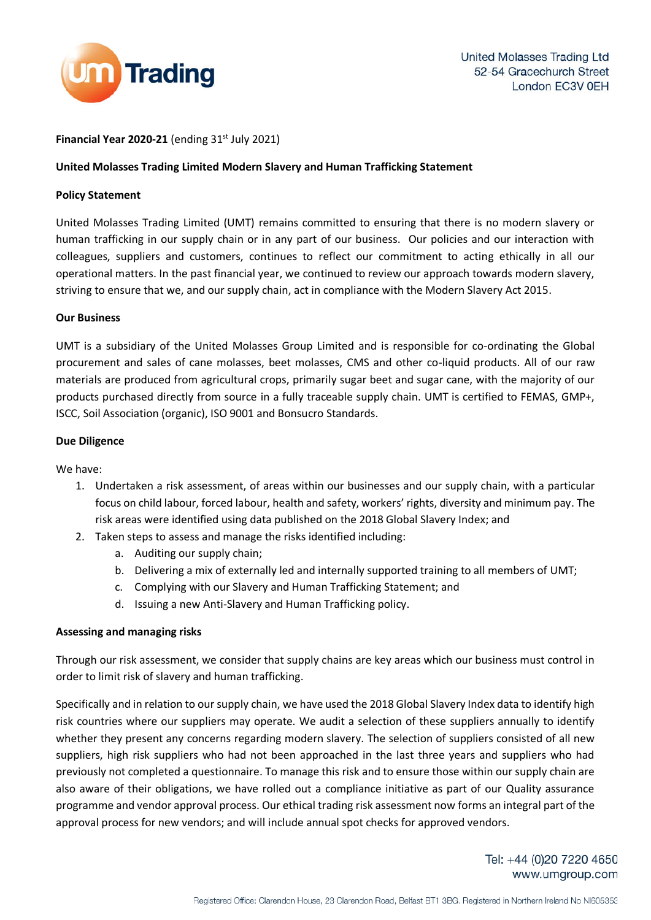

# **Financial Year 2020-21** (ending  $31<sup>st</sup>$  July 2021)

### **United Molasses Trading Limited Modern Slavery and Human Trafficking Statement**

#### **Policy Statement**

United Molasses Trading Limited (UMT) remains committed to ensuring that there is no modern slavery or human trafficking in our supply chain or in any part of our business. Our policies and our interaction with colleagues, suppliers and customers, continues to reflect our commitment to acting ethically in all our operational matters. In the past financial year, we continued to review our approach towards modern slavery, striving to ensure that we, and our supply chain, act in compliance with the Modern Slavery Act 2015.

### **Our Business**

UMT is a subsidiary of the United Molasses Group Limited and is responsible for co-ordinating the Global procurement and sales of cane molasses, beet molasses, CMS and other co-liquid products. All of our raw materials are produced from agricultural crops, primarily sugar beet and sugar cane, with the majority of our products purchased directly from source in a fully traceable supply chain. UMT is certified to FEMAS, GMP+, ISCC, Soil Association (organic), ISO 9001 and Bonsucro Standards.

### **Due Diligence**

We have:

- 1. Undertaken a risk assessment, of areas within our businesses and our supply chain, with a particular focus on child labour, forced labour, health and safety, workers' rights, diversity and minimum pay. The risk areas were identified using data published on the 2018 Global Slavery Index; and
- 2. Taken steps to assess and manage the risks identified including:
	- a. Auditing our supply chain;
	- b. Delivering a mix of externally led and internally supported training to all members of UMT;
	- c. Complying with our Slavery and Human Trafficking Statement; and
	- d. Issuing a new Anti-Slavery and Human Trafficking policy.

# **Assessing and managing risks**

Through our risk assessment, we consider that supply chains are key areas which our business must control in order to limit risk of slavery and human trafficking.

Specifically and in relation to our supply chain, we have used the 2018 Global Slavery Index data to identify high risk countries where our suppliers may operate. We audit a selection of these suppliers annually to identify whether they present any concerns regarding modern slavery. The selection of suppliers consisted of all new suppliers, high risk suppliers who had not been approached in the last three years and suppliers who had previously not completed a questionnaire. To manage this risk and to ensure those within our supply chain are also aware of their obligations, we have rolled out a compliance initiative as part of our Quality assurance programme and vendor approval process. Our ethical trading risk assessment now forms an integral part of the approval process for new vendors; and will include annual spot checks for approved vendors.

> Tel: +44 (0)20 7220 4650 www.umgroup.com